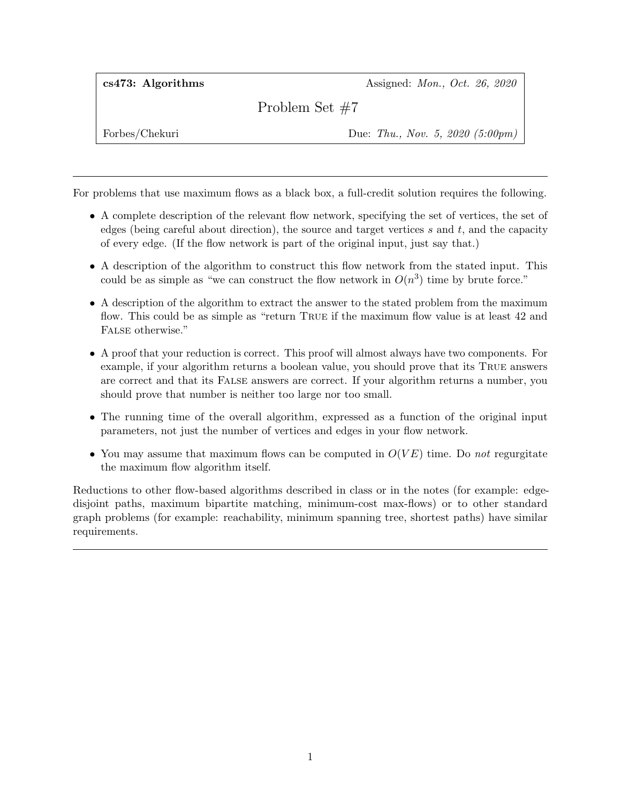cs473: Algorithms Assigned: Mon., Oct. 26, 2020

Problem Set #7

Forbes/Chekuri Due: Thu., Nov. 5, 2020 (5:00pm)

For problems that use maximum flows as a black box, a full-credit solution requires the following.

- A complete description of the relevant flow network, specifying the set of vertices, the set of edges (being careful about direction), the source and target vertices  $s$  and  $t$ , and the capacity of every edge. (If the flow network is part of the original input, just say that.)
- A description of the algorithm to construct this flow network from the stated input. This could be as simple as "we can construct the flow network in  $O(n^3)$  time by brute force."
- A description of the algorithm to extract the answer to the stated problem from the maximum flow. This could be as simple as "return TRUE if the maximum flow value is at least 42 and FALSE otherwise."
- A proof that your reduction is correct. This proof will almost always have two components. For example, if your algorithm returns a boolean value, you should prove that its True answers are correct and that its False answers are correct. If your algorithm returns a number, you should prove that number is neither too large nor too small.
- The running time of the overall algorithm, expressed as a function of the original input parameters, not just the number of vertices and edges in your flow network.
- You may assume that maximum flows can be computed in  $O(VE)$  time. Do not regurgitate the maximum flow algorithm itself.

Reductions to other flow-based algorithms described in class or in the notes (for example: edgedisjoint paths, maximum bipartite matching, minimum-cost max-flows) or to other standard graph problems (for example: reachability, minimum spanning tree, shortest paths) have similar requirements.